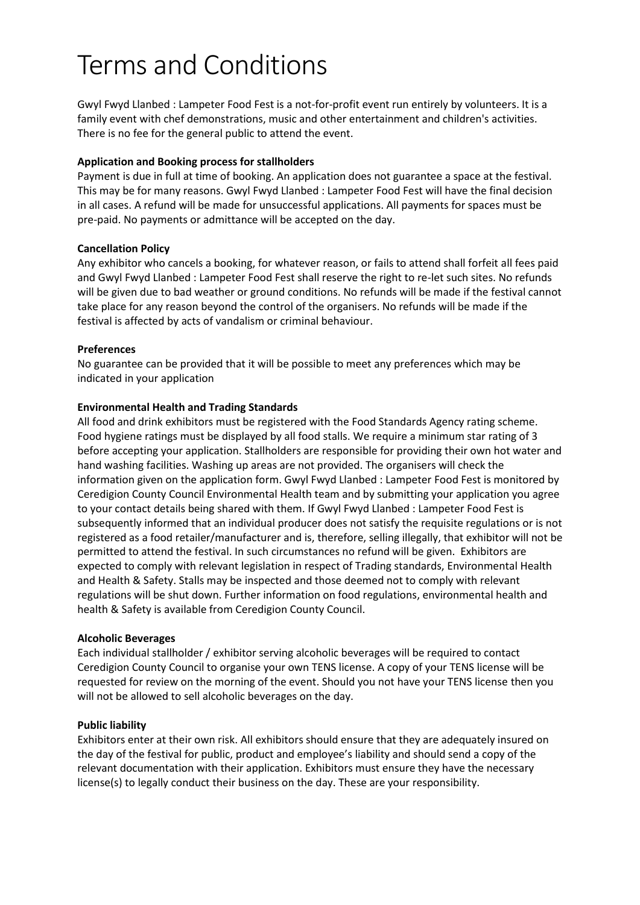# Terms and Conditions

Gwyl Fwyd Llanbed : Lampeter Food Fest is a not-for-profit event run entirely by volunteers. It is a family event with chef demonstrations, music and other entertainment and children's activities. There is no fee for the general public to attend the event.

# **Application and Booking process for stallholders**

Payment is due in full at time of booking. An application does not guarantee a space at the festival. This may be for many reasons. Gwyl Fwyd Llanbed : Lampeter Food Fest will have the final decision in all cases. A refund will be made for unsuccessful applications. All payments for spaces must be pre-paid. No payments or admittance will be accepted on the day.

# **Cancellation Policy**

Any exhibitor who cancels a booking, for whatever reason, or fails to attend shall forfeit all fees paid and Gwyl Fwyd Llanbed : Lampeter Food Fest shall reserve the right to re-let such sites. No refunds will be given due to bad weather or ground conditions. No refunds will be made if the festival cannot take place for any reason beyond the control of the organisers. No refunds will be made if the festival is affected by acts of vandalism or criminal behaviour.

# **Preferences**

No guarantee can be provided that it will be possible to meet any preferences which may be indicated in your application

# **Environmental Health and Trading Standards**

All food and drink exhibitors must be registered with the Food Standards Agency rating scheme. Food hygiene ratings must be displayed by all food stalls. We require a minimum star rating of 3 before accepting your application. Stallholders are responsible for providing their own hot water and hand washing facilities. Washing up areas are not provided. The organisers will check the information given on the application form. Gwyl Fwyd Llanbed : Lampeter Food Fest is monitored by Ceredigion County Council Environmental Health team and by submitting your application you agree to your contact details being shared with them. If Gwyl Fwyd Llanbed : Lampeter Food Fest is subsequently informed that an individual producer does not satisfy the requisite regulations or is not registered as a food retailer/manufacturer and is, therefore, selling illegally, that exhibitor will not be permitted to attend the festival. In such circumstances no refund will be given. Exhibitors are expected to comply with relevant legislation in respect of Trading standards, Environmental Health and Health & Safety. Stalls may be inspected and those deemed not to comply with relevant regulations will be shut down. Further information on food regulations, environmental health and health & Safety is available from Ceredigion County Council.

### **Alcoholic Beverages**

Each individual stallholder / exhibitor serving alcoholic beverages will be required to contact Ceredigion County Council to organise your own TENS license. A copy of your TENS license will be requested for review on the morning of the event. Should you not have your TENS license then you will not be allowed to sell alcoholic beverages on the day.

### **Public liability**

Exhibitors enter at their own risk. All exhibitors should ensure that they are adequately insured on the day of the festival for public, product and employee's liability and should send a copy of the relevant documentation with their application. Exhibitors must ensure they have the necessary license(s) to legally conduct their business on the day. These are your responsibility.